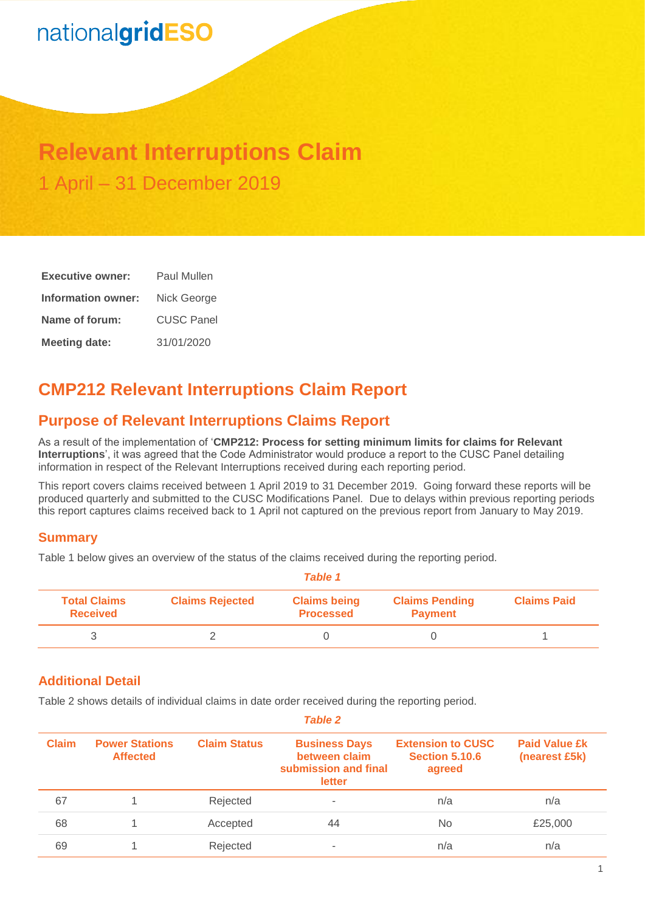# nationalgridESO

## **Relevant Interruptions Claim** 1 April – 31 December 2019

| <b>Executive owner:</b> | Paul Mullen       |  |  |
|-------------------------|-------------------|--|--|
| Information owner:      | Nick George       |  |  |
| Name of forum:          | <b>CUSC Panel</b> |  |  |
| <b>Meeting date:</b>    | 31/01/2020        |  |  |

## **CMP212 Relevant Interruptions Claim Report**

## **Purpose of Relevant Interruptions Claims Report**

As a result of the implementation of '**CMP212: Process for setting minimum limits for claims for Relevant Interruptions**', it was agreed that the Code Administrator would produce a report to the CUSC Panel detailing information in respect of the Relevant Interruptions received during each reporting period.

This report covers claims received between 1 April 2019 to 31 December 2019. Going forward these reports will be produced quarterly and submitted to the CUSC Modifications Panel. Due to delays within previous reporting periods this report captures claims received back to 1 April not captured on the previous report from January to May 2019.

### **Summary**

Table 1 below gives an overview of the status of the claims received during the reporting period.

| Table 1                                |                        |                                         |                                         |                    |  |
|----------------------------------------|------------------------|-----------------------------------------|-----------------------------------------|--------------------|--|
| <b>Total Claims</b><br><b>Received</b> | <b>Claims Rejected</b> | <b>Claims being</b><br><b>Processed</b> | <b>Claims Pending</b><br><b>Payment</b> | <b>Claims Paid</b> |  |
|                                        |                        |                                         |                                         |                    |  |

### **Additional Detail**

Table 2 shows details of individual claims in date order received during the reporting period.

| <b>Claim</b> | <b>Power Stations</b><br><b>Affected</b> | <b>Claim Status</b> | <b>Business Days</b><br>between claim<br>submission and final<br>letter | <b>Extension to CUSC</b><br><b>Section 5.10.6</b><br>agreed | <b>Paid Value £k</b><br>(nearest £5k) |
|--------------|------------------------------------------|---------------------|-------------------------------------------------------------------------|-------------------------------------------------------------|---------------------------------------|
| 67           |                                          | Rejected            | ٠                                                                       | n/a                                                         | n/a                                   |
| 68           |                                          | Accepted            | 44                                                                      | No.                                                         | £25,000                               |
| 69           |                                          | Rejected            |                                                                         | n/a                                                         | n/a                                   |

*Table 2*